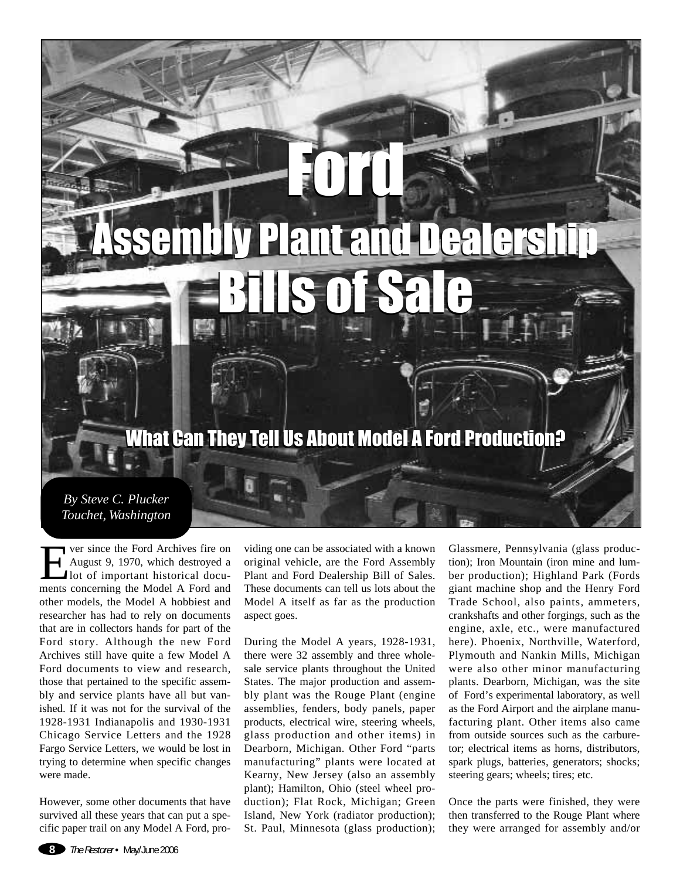Ford Assembly Plant and Dealership Bills of Sale Ford Assembly Plant and Dealership Bills of Sale

## What Can They Tell Us About Model A Ford Production? What Can They Tell Us About Model A Ford Production?

*By Steve C. Plucker Touchet, Washington*

**EVERT** ver since the Ford Archives fire on<br>August 9, 1970, which destroyed a<br>lot of important historical documents concerning the Model A Ford and August 9, 1970, which destroyed a lot of important historical documents concerning the Model A Ford and other models, the Model A hobbiest and researcher has had to rely on documents that are in collectors hands for part of the Ford story. Although the new Ford Archives still have quite a few Model A Ford documents to view and research, those that pertained to the specific assembly and service plants have all but vanished. If it was not for the survival of the 1928-1931 Indianapolis and 1930-1931 Chicago Service Letters and the 1928 Fargo Service Letters, we would be lost in trying to determine when specific changes were made.

However, some other documents that have survived all these years that can put a specific paper trail on any Model A Ford, providing one can be associated with a known original vehicle, are the Ford Assembly Plant and Ford Dealership Bill of Sales. These documents can tell us lots about the Model A itself as far as the production aspect goes.

During the Model A years, 1928-1931, there were 32 assembly and three wholesale service plants throughout the United States. The major production and assembly plant was the Rouge Plant (engine assemblies, fenders, body panels, paper products, electrical wire, steering wheels, glass production and other items) in Dearborn, Michigan. Other Ford "parts manufacturing" plants were located at Kearny, New Jersey (also an assembly plant); Hamilton, Ohio (steel wheel production); Flat Rock, Michigan; Green Island, New York (radiator production); St. Paul, Minnesota (glass production); Glassmere, Pennsylvania (glass production); Iron Mountain (iron mine and lumber production); Highland Park (Fords giant machine shop and the Henry Ford Trade School, also paints, ammeters, crankshafts and other forgings, such as the engine, axle, etc., were manufactured here). Phoenix, Northville, Waterford, Plymouth and Nankin Mills, Michigan were also other minor manufacturing plants. Dearborn, Michigan, was the site of Ford's experimental laboratory, as well as the Ford Airport and the airplane manufacturing plant. Other items also came from outside sources such as the carburetor; electrical items as horns, distributors, spark plugs, batteries, generators; shocks; steering gears; wheels; tires; etc.

Once the parts were finished, they were then transferred to the Rouge Plant where they were arranged for assembly and/or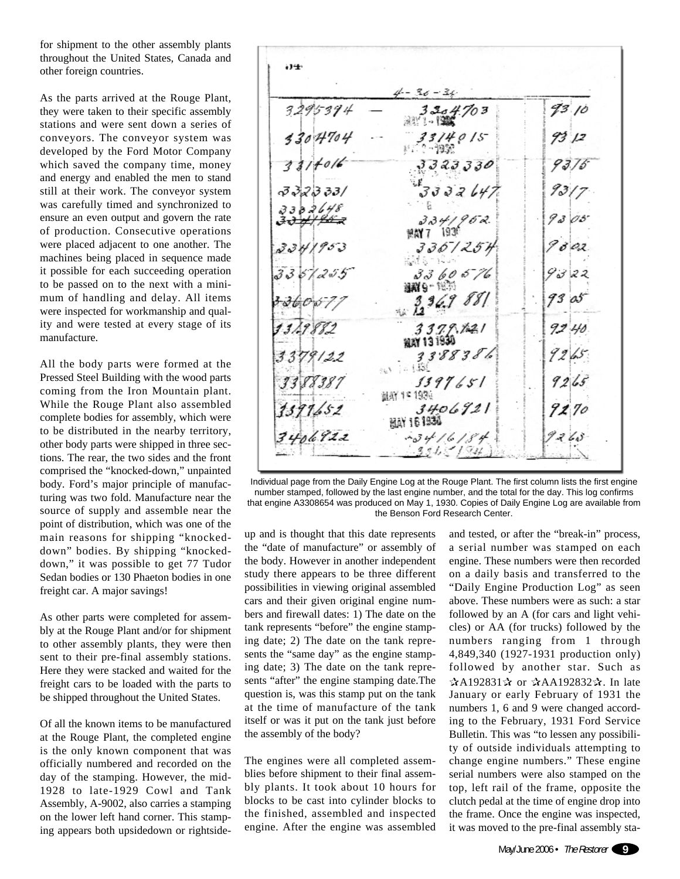for shipment to the other assembly plants throughout the United States, Canada and other foreign countries.

As the parts arrived at the Rouge Plant, they were taken to their specific assembly stations and were sent down a series of conveyors. The conveyor system was developed by the Ford Motor Company which saved the company time, money and energy and enabled the men to stand still at their work. The conveyor system was carefully timed and synchronized to ensure an even output and govern the rate of production. Consecutive operations were placed adjacent to one another. The machines being placed in sequence made it possible for each succeeding operation to be passed on to the next with a minimum of handling and delay. All items were inspected for workmanship and quality and were tested at every stage of its manufacture.

All the body parts were formed at the Pressed Steel Building with the wood parts coming from the Iron Mountain plant. While the Rouge Plant also assembled complete bodies for assembly, which were to be distributed in the nearby territory, other body parts were shipped in three sections. The rear, the two sides and the front comprised the "knocked-down," unpainted body. Ford's major principle of manufacturing was two fold. Manufacture near the source of supply and assemble near the point of distribution, which was one of the main reasons for shipping "knockeddown" bodies. By shipping "knockeddown," it was possible to get 77 Tudor Sedan bodies or 130 Phaeton bodies in one freight car. A major savings!

As other parts were completed for assembly at the Rouge Plant and/or for shipment to other assembly plants, they were then sent to their pre-final assembly stations. Here they were stacked and waited for the freight cars to be loaded with the parts to be shipped throughout the United States.

Of all the known items to be manufactured at the Rouge Plant, the completed engine is the only known component that was officially numbered and recorded on the day of the stamping. However, the mid-1928 to late-1929 Cowl and Tank Assembly, A-9002, also carries a stamping on the lower left hand corner. This stamping appears both upsidedown or rightside-

٠J٠  $4 - 36 - 36$ 93.10 3295394  $3304$ 3304704 33 I 40 I 5 2-19架  $1 + 0/6$ *323330* 3323331  $32647$ 3382648  $9303$  $334/962$ 解散 1936 336/254  $336057$ **温料9-1835**  $3,36.98$ 93 oS 3379.121 92.40 MAY 131930 3388386 9265  $12.15$  $9265$ 1397651 翻新 17 1936  $3406921$ 9270 <u>nav 15 1934</u>  $3406922$  $-3416184$  $331 < 184$ 

Individual page from the Daily Engine Log at the Rouge Plant. The first column lists the first engine number stamped, followed by the last engine number, and the total for the day. This log confirms that engine A3308654 was produced on May 1, 1930. Copies of Daily Engine Log are available from the Benson Ford Research Center.

up and is thought that this date represents the "date of manufacture" or assembly of the body. However in another independent study there appears to be three different possibilities in viewing original assembled cars and their given original engine numbers and firewall dates: 1) The date on the tank represents "before" the engine stamping date; 2) The date on the tank represents the "same day" as the engine stamping date; 3) The date on the tank represents "after" the engine stamping date.The question is, was this stamp put on the tank at the time of manufacture of the tank itself or was it put on the tank just before the assembly of the body?

The engines were all completed assemblies before shipment to their final assembly plants. It took about 10 hours for blocks to be cast into cylinder blocks to the finished, assembled and inspected engine. After the engine was assembled and tested, or after the "break-in" process, a serial number was stamped on each engine. These numbers were then recorded on a daily basis and transferred to the "Daily Engine Production Log" as seen above. These numbers were as such: a star followed by an A (for cars and light vehicles) or AA (for trucks) followed by the numbers ranging from 1 through 4,849,340 (1927-1931 production only) followed by another star. Such as  $\mathbf{\hat{\upalpha}}$ A192831 $\mathbf{\hat{\upalpha}}$  or  $\mathbf{\hat{\upalpha}}$ AA192832 $\mathbf{\hat{\upalpha}}$ . In late January or early February of 1931 the numbers 1, 6 and 9 were changed according to the February, 1931 Ford Service Bulletin. This was "to lessen any possibility of outside individuals attempting to change engine numbers." These engine serial numbers were also stamped on the top, left rail of the frame, opposite the clutch pedal at the time of engine drop into the frame. Once the engine was inspected, it was moved to the pre-final assembly sta-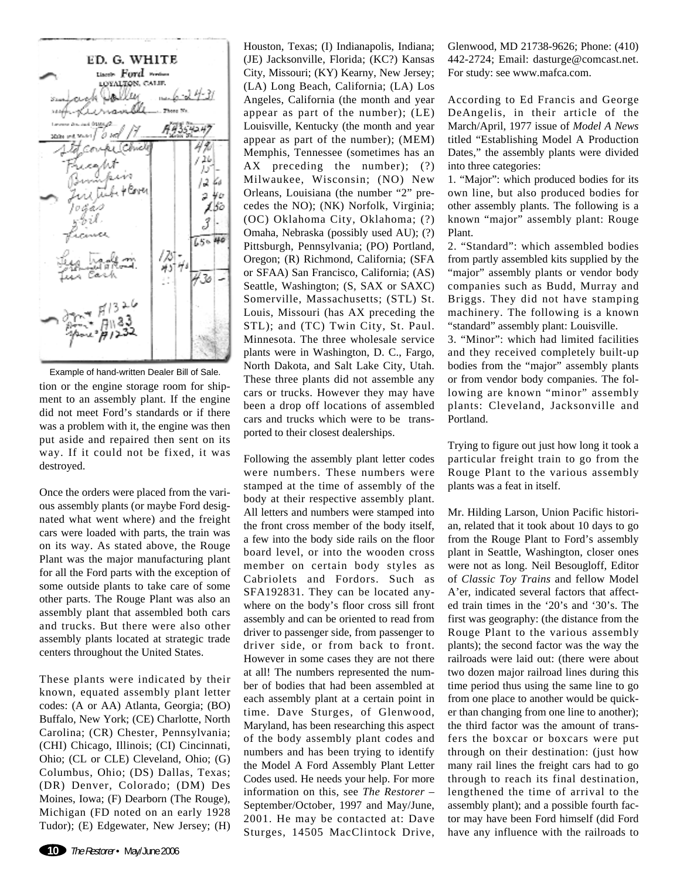

tion or the engine storage room for shipment to an assembly plant. If the engine did not meet Ford's standards or if there was a problem with it, the engine was then put aside and repaired then sent on its way. If it could not be fixed, it was destroyed. Example of hand-written Dealer Bill of Sale.

Once the orders were placed from the various assembly plants (or maybe Ford designated what went where) and the freight cars were loaded with parts, the train was on its way. As stated above, the Rouge Plant was the major manufacturing plant for all the Ford parts with the exception of some outside plants to take care of some other parts. The Rouge Plant was also an assembly plant that assembled both cars and trucks. But there were also other assembly plants located at strategic trade centers throughout the United States.

These plants were indicated by their known, equated assembly plant letter codes: (A or AA) Atlanta, Georgia; (BO) Buffalo, New York; (CE) Charlotte, North Carolina; (CR) Chester, Pennsylvania; (CHI) Chicago, Illinois; (CI) Cincinnati, Ohio; (CL or CLE) Cleveland, Ohio; (G) Columbus, Ohio; (DS) Dallas, Texas; (DR) Denver, Colorado; (DM) Des Moines, Iowa; (F) Dearborn (The Rouge), Michigan (FD noted on an early 1928 Tudor); (E) Edgewater, New Jersey; (H)

Houston, Texas; (I) Indianapolis, Indiana; (JE) Jacksonville, Florida; (KC?) Kansas City, Missouri; (KY) Kearny, New Jersey; (LA) Long Beach, California; (LA) Los Angeles, California (the month and year appear as part of the number); (LE) Louisville, Kentucky (the month and year appear as part of the number); (MEM) Memphis, Tennessee (sometimes has an AX preceding the number); (?) Milwaukee, Wisconsin; (NO) New Orleans, Louisiana (the number "2" precedes the NO); (NK) Norfolk, Virginia; (OC) Oklahoma City, Oklahoma; (?) Omaha, Nebraska (possibly used AU); (?) Pittsburgh, Pennsylvania; (PO) Portland, Oregon; (R) Richmond, California; (SFA or SFAA) San Francisco, California; (AS) Seattle, Washington; (S, SAX or SAXC) Somerville, Massachusetts; (STL) St. Louis, Missouri (has AX preceding the STL); and (TC) Twin City, St. Paul. Minnesota. The three wholesale service plants were in Washington, D. C., Fargo, North Dakota, and Salt Lake City, Utah. These three plants did not assemble any cars or trucks. However they may have been a drop off locations of assembled cars and trucks which were to be transported to their closest dealerships.

Following the assembly plant letter codes were numbers. These numbers were stamped at the time of assembly of the body at their respective assembly plant. All letters and numbers were stamped into the front cross member of the body itself, a few into the body side rails on the floor board level, or into the wooden cross member on certain body styles as Cabriolets and Fordors. Such as SFA192831. They can be located anywhere on the body's floor cross sill front assembly and can be oriented to read from driver to passenger side, from passenger to driver side, or from back to front. However in some cases they are not there at all! The numbers represented the number of bodies that had been assembled at each assembly plant at a certain point in time. Dave Sturges, of Glenwood, Maryland, has been researching this aspect of the body assembly plant codes and numbers and has been trying to identify the Model A Ford Assembly Plant Letter Codes used. He needs your help. For more information on this, see *The Restorer* – September/October, 1997 and May/June, 2001. He may be contacted at: Dave Sturges, 14505 MacClintock Drive,

Glenwood, MD 21738-9626; Phone: (410) 442-2724; Email: dasturge@comcast.net. For study: see www.mafca.com.

According to Ed Francis and George DeAngelis, in their article of the March/April, 1977 issue of *Model A News* titled "Establishing Model A Production Dates," the assembly plants were divided into three categories:

1. "Major": which produced bodies for its own line, but also produced bodies for other assembly plants. The following is a known "major" assembly plant: Rouge Plant.

2. "Standard": which assembled bodies from partly assembled kits supplied by the "major" assembly plants or vendor body companies such as Budd, Murray and Briggs. They did not have stamping machinery. The following is a known "standard" assembly plant: Louisville.

3. "Minor": which had limited facilities and they received completely built-up bodies from the "major" assembly plants or from vendor body companies. The following are known "minor" assembly plants: Cleveland, Jacksonville and Portland.

Trying to figure out just how long it took a particular freight train to go from the Rouge Plant to the various assembly plants was a feat in itself.

Mr. Hilding Larson, Union Pacific historian, related that it took about 10 days to go from the Rouge Plant to Ford's assembly plant in Seattle, Washington, closer ones were not as long. Neil Besougloff, Editor of *Classic Toy Trains* and fellow Model A'er, indicated several factors that affected train times in the '20's and '30's. The first was geography: (the distance from the Rouge Plant to the various assembly plants); the second factor was the way the railroads were laid out: (there were about two dozen major railroad lines during this time period thus using the same line to go from one place to another would be quicker than changing from one line to another); the third factor was the amount of transfers the boxcar or boxcars were put through on their destination: (just how many rail lines the freight cars had to go through to reach its final destination, lengthened the time of arrival to the assembly plant); and a possible fourth factor may have been Ford himself (did Ford have any influence with the railroads to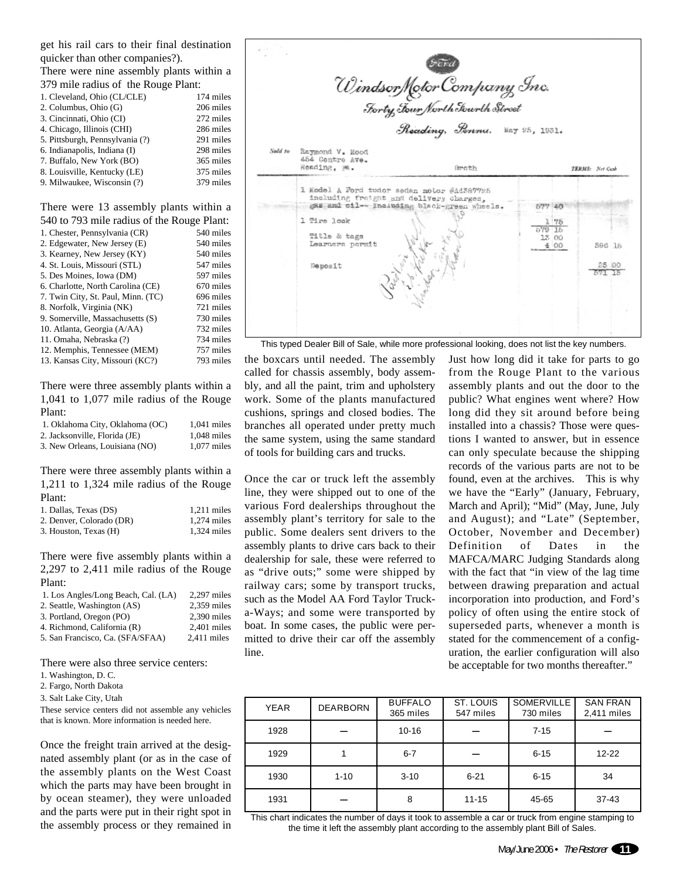get his rail cars to their final destination quicker than other companies?).

There were nine assembly plants within a 379 mile radius of the Rouge Plant:

| 373 mmg Tadius of the Kouge I fam. |           |
|------------------------------------|-----------|
| 1. Cleveland, Ohio (CL/CLE)        | 174 miles |
| 2. Columbus, Ohio (G)              | 206 miles |
| 3. Cincinnati, Ohio (CI)           | 272 miles |
| 4. Chicago, Illinois (CHI)         | 286 miles |
| 5. Pittsburgh, Pennsylvania (?)    | 291 miles |
| 6. Indianapolis, Indiana (I)       | 298 miles |
| 7. Buffalo, New York (BO)          | 365 miles |
| 8. Louisville, Kentucky (LE)       | 375 miles |
| 9. Milwaukee, Wisconsin (?)        | 379 miles |
|                                    |           |

There were 13 assembly plants within a 540 to 793 mile radius of the Rouge Plant:

| $\sim$ 10 to 195 mme rudius or the rouge 1 mm. |           |
|------------------------------------------------|-----------|
| 1. Chester, Pennsylvania (CR)                  | 540 miles |
| 2. Edgewater, New Jersey (E)                   | 540 miles |
| 3. Kearney, New Jersey (KY)                    | 540 miles |
| 4. St. Louis, Missouri (STL)                   | 547 miles |
| 5. Des Moines, Iowa (DM)                       | 597 miles |
| 6. Charlotte, North Carolina (CE)              | 670 miles |
| 7. Twin City, St. Paul, Minn. (TC)             | 696 miles |
| 8. Norfolk, Virginia (NK)                      | 721 miles |
| 9. Somerville, Massachusetts (S)               | 730 miles |
| 10. Atlanta, Georgia (A/AA)                    | 732 miles |
| 11. Omaha, Nebraska (?)                        | 734 miles |
| 12. Memphis, Tennessee (MEM)                   | 757 miles |
| 13. Kansas City, Missouri (KC?)                | 793 miles |
|                                                |           |

There were three assembly plants within a 1,041 to 1,077 mile radius of the Rouge Plant:

| 1. Oklahoma City, Oklahoma (OC) | $1.041$ miles |
|---------------------------------|---------------|
| 2. Jacksonville. Florida (JE)   | $1.048$ miles |
| 3. New Orleans, Louisiana (NO)  | $1.077$ miles |

There were three assembly plants within a 1,211 to 1,324 mile radius of the Rouge Plant:

| 1. Dallas, Texas (DS)    | $1.211$ miles |
|--------------------------|---------------|
| 2. Denver, Colorado (DR) | $1.274$ miles |
| 3. Houston, Texas (H)    | $1.324$ miles |

There were five assembly plants within a 2,297 to 2,411 mile radius of the Rouge Plant:

| 1. Los Angles/Long Beach, Cal. (LA) | $2,297$ miles |
|-------------------------------------|---------------|
| 2. Seattle, Washington (AS)         | $2.359$ miles |
| 3. Portland, Oregon (PO)            | $2,390$ miles |
| 4. Richmond, California (R)         | $2.401$ miles |
| 5. San Francisco, Ca. (SFA/SFAA)    | $2.411$ miles |

There were also three service centers:

2. Fargo, North Dakota

3. Salt Lake City, Utah

These service centers did not assemble any vehicles that is known. More information is needed here.

Once the freight train arrived at the designated assembly plant (or as in the case of the assembly plants on the West Coast which the parts may have been brought in by ocean steamer), they were unloaded and the parts were put in their right spot in the assembly process or they remained in



This typed Dealer Bill of Sale, while more professional looking, does not list the key numbers.

the boxcars until needed. The assembly called for chassis assembly, body assembly, and all the paint, trim and upholstery work. Some of the plants manufactured cushions, springs and closed bodies. The branches all operated under pretty much the same system, using the same standard of tools for building cars and trucks.

Once the car or truck left the assembly line, they were shipped out to one of the various Ford dealerships throughout the assembly plant's territory for sale to the public. Some dealers sent drivers to the assembly plants to drive cars back to their dealership for sale, these were referred to as "drive outs;" some were shipped by railway cars; some by transport trucks, such as the Model AA Ford Taylor Trucka-Ways; and some were transported by boat. In some cases, the public were permitted to drive their car off the assembly line.

Just how long did it take for parts to go from the Rouge Plant to the various assembly plants and out the door to the public? What engines went where? How long did they sit around before being installed into a chassis? Those were questions I wanted to answer, but in essence can only speculate because the shipping records of the various parts are not to be found, even at the archives. This is why we have the "Early" (January, February, March and April); "Mid" (May, June, July and August); and "Late" (September, October, November and December) Definition of Dates in the MAFCA/MARC Judging Standards along with the fact that "in view of the lag time between drawing preparation and actual incorporation into production, and Ford's policy of often using the entire stock of superseded parts, whenever a month is stated for the commencement of a configuration, the earlier configuration will also be acceptable for two months thereafter."

| <b>YEAR</b> | <b>DEARBORN</b> | <b>BUFFALO</b><br>365 miles | <b>ST. LOUIS</b><br>547 miles | <b>SOMERVILLE</b><br>730 miles | <b>SAN FRAN</b><br>2,411 miles |
|-------------|-----------------|-----------------------------|-------------------------------|--------------------------------|--------------------------------|
| 1928        |                 | $10 - 16$                   |                               | $7 - 15$                       |                                |
| 1929        |                 | $6 - 7$                     |                               | $6 - 15$                       | $12 - 22$                      |
| 1930        | $1 - 10$        | $3 - 10$                    | $6 - 21$                      | $6 - 15$                       | 34                             |
| 1931        |                 | 8                           | $11 - 15$                     | 45-65                          | 37-43                          |

This chart indicates the number of days it took to assemble a car or truck from engine stamping to the time it left the assembly plant according to the assembly plant Bill of Sales.

<sup>1.</sup> Washington, D. C.